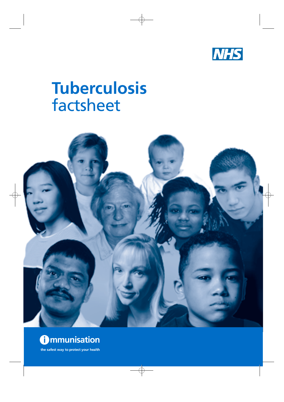

# **Tuberculosis**  factsheet





**the safest way to protect your health**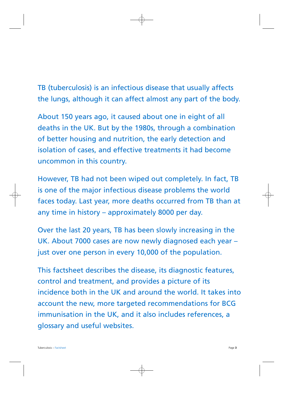TB (tuberculosis) is an infectious disease that usually affects the lungs, although it can affect almost any part of the body.

About 150 years ago, it caused about one in eight of all deaths in the UK. But by the 1980s, through a combination of better housing and nutrition, the early detection and isolation of cases, and effective treatments it had become uncommon in this country.

However, TB had not been wiped out completely. In fact, TB is one of the major infectious disease problems the world faces today. Last year, more deaths occurred from TB than at any time in history – approximately 8000 per day.

Over the last 20 years, TB has been slowly increasing in the UK. About 7000 cases are now newly diagnosed each year – just over one person in every 10,000 of the population.

This factsheet describes the disease, its diagnostic features, control and treatment, and provides a picture of its incidence both in the UK and around the world. It takes into account the new, more targeted recommendations for BCG immunisation in the UK, and it also includes references, a glossary and useful websites.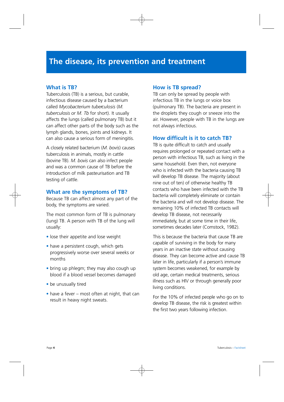#### **What is TB?**

Tuberculosis (TB) is a serious, but curable, infectious disease caused by a bacterium called *Mycobacterium tuberculosis* (M. *tuberculosis or M. Tb* for short). It usually a ffects the lungs (called pulmonary TB) but it can affect other parts of the body such as the lymph glands, bones, joints and kidneys. It can also cause a serious form of meningitis.

A closely related bacterium (*M. bovis*) causes tuberculosis in animals, mostly in cattle (bovine TB). *M. bovis* can also infect people and was a common cause of TB before the introduction of milk pasteurisation and TB testing of cattle.

#### **What are the symptoms of TB?**

Because TB can affect almost any part of the body, the symptoms are varied.

The most common form of TB is pulmonary (lung) TB. A person with TB of the lung will usually:

- lose their appetite and lose weight
- have a persistent cough, which gets progressively worse over several weeks or months
- bring up phlegm; they may also cough up blood if a blood vessel becomes damaged
- be unusually tired
- have a fever most often at night, that can result in heavy night sweats.

#### **How is TB spread?**

TB can only be spread by people with infectious TB in the lungs or voice box (pulmonary TB). The bacteria are present in the droplets they cough or sneeze into the air. However, people with TB in the lungs are not always infectious.

#### **How difficult is it to catch TB?**

TB is quite difficult to catch and usually requires prolonged or repeated contact with a person with infectious TB, such as living in the same household. Even then, not everyone who is infected with the bacteria causing TB will develop TB disease. The majority (about nine out of ten) of otherwise healthy TB contacts who have been infected with the TB bacteria will completely eliminate or contain the bacteria and will not develop disease. The remaining 10% of infected TB contacts will develop TB disease, not necessarily im mediately, but at some time in their life, sometimes decades later (Comstock, 1982).

This is because the bacteria that cause TB are capable of surviving in the body for many years in an inactive state without causing disease. They can become active and cause TB later in life, particularly if a person's immune system becomes weakened, for example by old age, certain medical treatments, serious illness such as HIV or through generally poor living conditions.

For the 10% of infected people who go on to develop TB disease, the risk is greatest within the first two years following infection.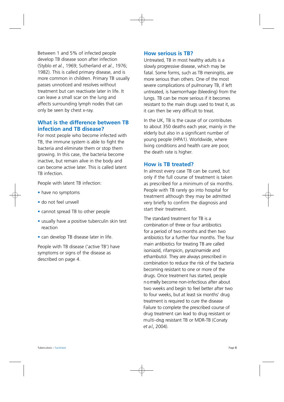Between 1 and 5% of infected people develop TB disease soon after infection (Styblo *et al.*, 1969; Sutherland *et al.*, 1976; 1982). This is called primary disease, and is more common in children. Primary TB usually passes unnoticed and resolves without treatment but can reactivate later in life. It can leave a small scar on the lung and affects surrounding lymph nodes that can only be seen by chest x-ray.

## **What is the difference between TB infection and TB disease?**

For most people who become infected with TB, the immune system is able to fight the bacteria and eliminate them or stop them growing. In this case, the bacteria become inactive, but remain alive in the body and can become active later. This is called latent TB infection.

People with latent TB infection:

- have no symptoms
- do not feel unwell
- cannot spread TB to other people
- usually have a positive tuberculin skin test reaction
- can develop TB disease later in life.

People with TB disease ('active TB') have symptoms or signs of the disease as described on page 4.

#### **How serious is TB?**

Untreated. TB in most healthy adults is a slowly progressive disease, which may be fatal. Some forms, such as TB meningitis, are more serious than others. One of the most severe complications of pulmonary TB, if left untreated, is haemorrhage (bleeding) from the lungs. TB can be more serious if it becomes resistant to the main drugs used to treat it, as it can then be very difficult to treat.

In the UK, TB is the cause of or contributes to about 350 deaths each year, mainly in the elderly but also in a significant number of young people (HPA1). Worldwide, where living conditions and health care are poor, the death rate is higher.

#### **How is TB treated?**

In almost every case TB can be cured, but only if the full course of treatment is taken as prescribed for a minimum of six months. People with TB rarely go into hospital for treatment although they may be admitted very briefly to confirm the diagnosis and start their treatment

The standard treatment for TB is a combination of three or four antibiotics for a period of two months and then two antibiotics for a further four months. The four main antibiotics for treating TB are called isoniazid, rifampicin, pyrazinamide and ethambutol. They are always prescribed in combination to reduce the risk of the bacteria becoming resistant to one or more of the drugs. Once treatment has started, people n o rmally become non-infectious after about two weeks and begin to feel better after two to four weeks, but at least six months' drug treatment is required to cure the disease Failure to complete the prescribed course of drug treatment can lead to drug resistant or multi-dng resistant TB or MDR-TB (Conaty *et a l.*, 2004).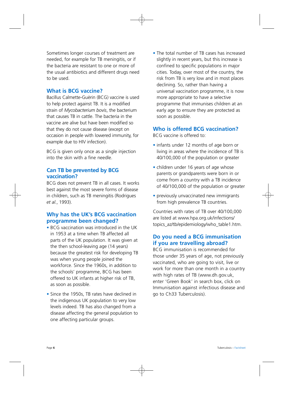Sometimes longer courses of treatment are needed, for example for TB meningitis, or if the bacteria are resistant to one or more of the usual antibiotics and different drugs need to be used.

#### **What is BCG vaccine?**

Bacillus Calmette-Guèrin (BCG) vaccine is used to help protect against TB. It is a modified strain of *Mycobacterium bovis*, the bacterium that causes TB in cattle. The bacteria in the vaccine are alive but have been modified so that they do not cause disease (except on occasion in people with lowered immunity, for example due to HIV infection).

BCG is given only once as a single injection into the skin with a fine needle.

## **Can TB be prevented by BCG vaccination?**

BCG does not prevent TB in all cases. It works best against the most severe forms of disease in children, such as TB meningitis (Rodrigues *et al.*, 1993).

## **Why has the UK's BCG vaccination programme been changed?**

- BCG vaccination was introduced in the UK in 1953 at a time when TB affected all parts of the UK population. It was given at the then school-leaving age (14 years) because the greatest risk for developing TB was when young people joined the workforce. Since the 1960s, in addition to the schools' programme, BCG has been offered to UK infants at higher risk of TB, as soon as possible.
- Since the 1950s, TB rates have declined in the indigenous UK population to very low levels indeed. TB has also changed from a disease affecting the general population to one affecting particular groups.

• The total number of TB cases has increased slightly in recent years, but this increase is confined to specific populations in major cities. Today, over most of the country, the risk from TB is very low and in most places declining. So, rather than having a universal vaccination programme, it is now more appropriate to have a selective programme that immunises children at an early age to ensure they are protected as soon as possible.

# **Who is offered BCG vaccination?**

BCG vaccine is offered to:

- infants under 12 months of age born or living in areas where the incidence of TB is 40/100,000 of the population or greater
- children under 16 years of age whose parents or grandparents were born in or come from a country with a TB incidence of 40/100,000 of the population or greater
- previously unvaccinated new immigrants from high prevalence TB countries.

Countries with rates of TB over 40/100,000 are listed at www.hpa.org.uk/infections/ topics\_az/tb[/epidemiology/who\\_table1.htm.](http://www.hpa.org.uk/infections/topics_az/tb/epidemiology/who_table1.htm)

# **Do you need a BCG immunisation if you are travelling abroad?**

BCG immunisation is recommended for those under 35 years of age, not previously vaccinated, who are going to visit, live or work for more than one month in a country with high rates of TB (www.dh.gov.uk, enter 'Green Book' in search box, click on Immunisation against infectious disease and go to Ch33 Tuberculosis).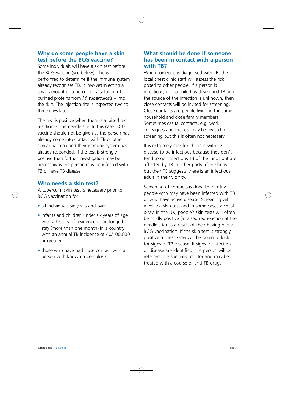# **Why do some people have a skin test before the BCG vaccine?**

Some individuals will have a skin test before the BCG vaccine (see below). This is perf o rmed to determine if the immune system already recognises TB. It involves injecting a small amount of tuberculin – a solution of purified proteins from *M. tuberculosis* – into the skin. The injection site is inspected two to three days later.

The test is positive when there is a raised red reaction at the needle site. In this case, BCG vaccine should not be given as the person has already come into contact with TB or other similar bacteria and their immune system has already responded. If the test is strongly positive then further investigation may be necessary as the person may be infected with TB or have TB disease.

## **Who needs a skin test?**

A tuberculin skin test is necessary prior to BCG vaccination for:

- all individuals six years and over
- infants and children under six years of age with a history of residence or prolonged stay (more than one month) in a country with an annual TB incidence of 40/100,000 or greater
- those who have had close contact with a person with known tuberculosis.

# **What should be done if someone has been in contact with a person with TB?**

When someone is diagnosed with TB, the local chest clinic staff will assess the risk posed to other people. If a person is infectious, or if a child has developed TB and the source of the infection is unknown, then close contacts will be invited for screening. Close contacts are people living in the same household and close family members. Sometimes casual contacts, e.g. work colleagues and friends, may be invited for screening but this is often not necessary.

It is extremely rare for children with TB disease to be infectious because they don't tend to get infectious TB of the lungs but are affected by TB in other parts of the body – but their TB suggests there is an infectious adult in their vicinity.

Screening of contacts is done to identify people who may have been infected with TB or who have active disease. Screening will involve a skin test and in some cases a chest x-ray. In the UK, people's skin tests will often be mildly positive (a raised red reaction at the needle site) as a result of their having had a BCG vaccination. If the skin test is strongly positive a chest x-ray will be taken to look for signs of TB disease. If signs of infection or disease are identified, the person will be referred to a specialist doctor and may be treated with a course of anti-TB drugs.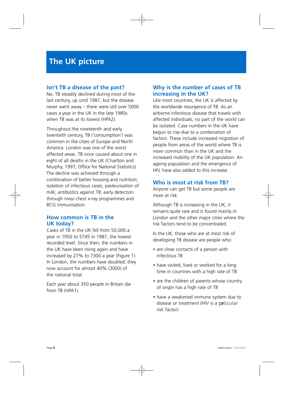#### **Isn't TB a disease of the past?**

No. TB steadily declined during most of the last century, up until 1987, but the disease never went away – there were still over 5000 cases a year in the UK in the late 1980s when TB was at its lowest (HPA2).

Throughout the nineteenth and early twentieth century, TB ('consumption') was common in the cities of Europe and North America. London was one of the worst affected areas. TB once caused about one in eight of all deaths in the UK (Charlton and Murphy, 1997; Office for National Statistics). The decline was achieved through a combination of better housing and nutrition; isolation of infectious cases; pasteurisation of milk; antibiotics against TB; early detection through mass chest x-ray programmes and BCG immunisation.

# **How common is TB in the UK today?**

Cases of TB in the UK fell from 50,000 a year in 1950 to 5745 in 1987, the lowest recorded level. Since then, the numbers in the UK have been rising again and have increased by 27% to 7300 a year (Figure 1). In London, the numbers have doubled; they now account for almost 40% (3000) of the national total.

Each year about 350 people in Britain die from TB (HPA1).

## **Why is the number of cases of TB increasing in the UK?**

Like most countries, the UK is affected by the worldwide resurgence of TB. As an airborne infectious disease that travels with affected individuals, no part of the world can be isolated. Case numbers in the UK have begun to rise due to a combination of factors. These include increased migration of people from areas of the world where TB is more common than in the UK and the increased mobility of the UK population. An ageing population and the emergence of HIV, have also added to this increase.

#### **Who is most at risk from TB?**

Anyone can get TB but some people are more at risk.

Although TB is increasing in the UK, it remains quite rare and is found mainly in London and the other major cities where the risk factors tend to be concentrated.

In the UK, those who are at most risk of developing TB disease are people who:

- are close contacts of a person with infectious TB
- have visited, lived or worked for a long time in countries with a high rate of TB
- are the children of parents whose country of origin has a high rate of TB
- have a weakened immune system due to disease or treatment (HIV is a particular risk factor)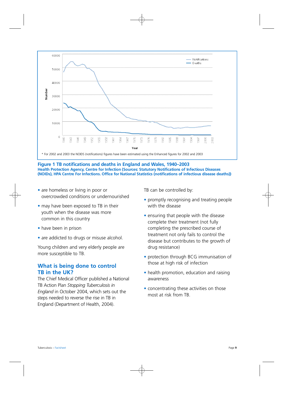

**Figure 1 TB notifications and deaths in England and Wales, 1940–2003 Health Protection Agency, Centre for Infection (Sources: Statutory Notifications of Infectious Diseases (NOIDs), HPA Centre For Infections. Office for National Statistics (notifications of infectious disease deaths))** 

- are homeless or living in poor or overcrowded conditions or undernourished
- may have been exposed to TB in their youth when the disease was more common in this country
- have been in prison
- are addicted to drugs or misuse alcohol.

Young children and very elderly people are more susceptible to TB.

#### **What is being done to control TB in the UK?**

The Chief Medical Officer published a National TB Action Plan *Stopping Tuberculosis in England* in October 2004, which sets out the steps needed to reverse the rise in TB in England (Department of Health, 2004).

TB can be controlled by:

- promptly recognising and treating people with the disease
- ensuring that people with the disease complete their treatment (not fully completing the prescribed course of treatment not only fails to control the disease but contributes to the growth of drug resistance)
- protection through BCG immunisation of those at high risk of infection
- health promotion, education and raising awareness
- concentrating these activities on those most at risk from TB.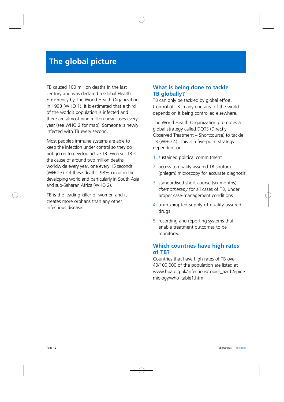# **The global picture**

TB caused 100 million deaths in the last century and was declared a Global Health E m e ropncy by The World Health Organization in 1993 (WHO 1). It is estimated that a third of the world's population is infected and there are almost nine million new cases every year (see WHO 2 for map). Someone is newly infected with TB every second.

Most people's immune systems are able to keep the infection under control so they do not go on to develop active TB. Even so, TB is the cause of around two million deaths worldwide every year, one every 15 seconds (WHO 3). Of these deaths, 98% occur in the developing world and particularly in South Asia and sub-Saharan Africa (WHO 2).

TB is the leading killer of women and it creates more orphans than any other infectious disease.

#### **What is being done to tackle TB globally?**

TB can only be tackled by global effort. Control of TB in any one area of the world depends on it being controlled elsewhere.

The World Health Organization promotes a global strategy called DOTS (Directly Observed Treatment – Shortcourse) to tackle TB (WHO 4). This is a five-point strategy dependent on:

- 1. sustained political commitment
- 2. access to quality-assured TB sputum (phlegm) microscopy for accurate diagnosis
- 3. standardised short-course (six months) *chemotherapy* for all cases of TB, under proper case-management conditions
- 4. uninter upted supply of quality-assured drugs
- 5. recording and reporting systems that enable treatment outcomes to be monitored.

# **Which countries have high rates of TB?**

Countries that have high rates of TB over 40/100,000 of the population are listed at www.hpa.org.uk/infections/topics\_az/tb/epide miology/who\_table1.htm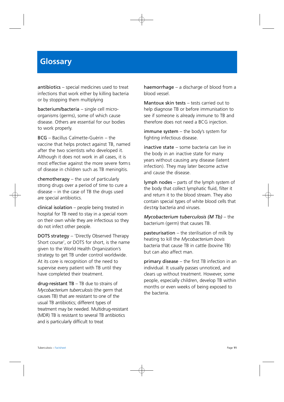# **Glossary**

antibiotics – special medicines used to treat infections that work either by killing bacteria or by stopping them multiplying

bacterium/bacteria – single cell microorganisms (germs), some of which cause disease. Others are essential for our bodies to work properly.

 $BCG -$  Bacillus Calmette-Guèrin – the vaccine that helps protect against TB, named after the two scientists who developed it. Although it does not work in all cases, it is most effective against the more severe form s of disease in children such as TB meningitis.

chemotherapy – the use of particularly strong drugs over a period of time to cure a disease – in the case of TB the drugs used are special antibiotics.

clinical isolation – people being treated in hospital for TB need to stay in a special room on their own while they are infectious so they do not infect other people.

DOTS strategy – 'Directly Observed Therapy Short course', or DOTS for short, is the name given to the World Health Organization's strategy to get TB under control worldwide. At its core is recognition of the need to supervise every patient with TB until they have completed their treatment.

 $drug-resistant TB - TB due to strains of$ *Mycobacterium tuberculosis* (the germ that causes TB) that are resistant to one of the usual TB antibiotics; different types of treatment may be needed. Multidrug-resistant (MDR) TB is resistant to several TB antibiotics and is particularly difficult to treat

haemorrhage – a discharge of blood from a blood vessel.

Mantoux skin tests – tests carried out to help diagnose TB or before immunisation to see if someone is already immune to TB and therefore does not need a BCG injection.

immune system – the body's system for fighting infectious disease.

inactive state – some bacteria can live in the body in an inactive state for many years without causing any disease (latent infection). They may later become active and cause the disease.

lymph nodes – parts of the lymph system of the body that collect lymphatic fluid, filter it and return it to the blood stream. They also contain special types of white blood cells that destroy bacteria and viruses.

*Mycobacterium tuberculosis (M Tb)* – the bacterium (germ) that causes TB.

pasteurisation – the sterilisation of milk by heating to kill the *Mycobacterium bovis*  bacteria that cause TB in cattle (bovine TB) but can also affect man.

primary disease – the first TB infection in an individual. It usually passes unnoticed, and clears up without treatment. However, some people, especially children, develop TB within months or even weeks of being exposed to the bacteria.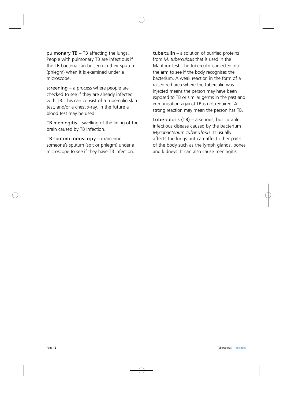pulmonary TB – TB affecting the lungs. People with pulmonary TB are infectious if the TB bacteria can be seen in their sputum (phlegm) when it is examined under a microscope.

screening – a process where people are checked to see if they are already infected with TB. This can consist of a tuberculin skin test, and/or a chest x-ray. In the future a blood test may be used.

TB meningitis  $-$  swelling of the lining of the brain caused by TB infection.

TB sputum microscopy – examining someone's sputum (spit or phlegm) under a microscope to see if they have TB infection. tuberculin – a solution of purified proteins from *M. tuberculosis* that is used in the Mantoux test. The tuberculin is injected into the arm to see if the body recognises the bacterium. A weak reaction in the form of a raised red area where the tuberculin was injected means the person may have been exposed to TB or similar germs in the past and immunisation against TB is not required. A strong reaction may mean the person has TB.

tub e raulosis (TB) – a serious, but curable, infectious disease caused by the bacterium *Mycobacterium tuberculosis. It usually* affects the lungs but can affect other parts of the body such as the lymph glands, bones and kidneys. It can also cause meningitis.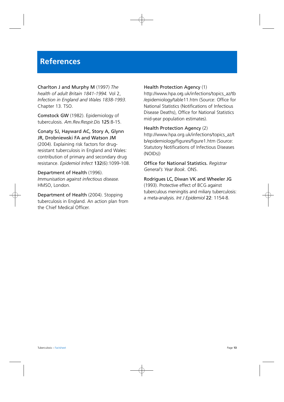# **References**

Charlton J and Murphy M (1997) *The health of adult Britain 1841-1994.* Vol 2, *Infection in England and Wales 1838-1993.*  Chapter 13. TSO.

Comstock GW (1982). Epidemiology of tuberculosis. *Am.Rev.Respir.Dis* 125:8-15.

Conaty SJ, Hayward AC, Story A, Glynn JR, Drobniewski FA and Watson JM (2004). Explaining risk factors for drugresistant tuberculosis in England and Wales: contribution of primary and secondary drug resistance. *Epidemiol Infect* 132(6):1099-108.

Department of Health (1996). *Immunisation against infectious disease.*  HMSO, London.

Department of Health (2004). Stopping tuberculosis in England. An action plan from the Chief Medical Officer.

#### Health Protection Agency (1)

http://www.hpa.org.uk/infections/topics az/tb /epidemiology/table11.htm (Source: Office for National Statistics (Notifications of Infectious Disease Deaths), Office for National Statistics mid-year population estimates).

Health Protection Agency (2)

[http://www.hpa.org.uk/infections/topics\\_az/t](http://www.hpa.org.uk/infections/topics_az/t)  b/epidemiology/figures/figure1.htm (Source: Statutory Notifications of Infectious Diseases (NOIDs))

Office for National Statistics. *Registrar General's Year Book.* ONS.

Rodrigues LC, Diwan VK and Wheeler JG (1993). Protective effect of BCG against tuberculous meningitis and miliary tuberculosis: a meta-analysis. *Int J Epidemiol* 22: 1154-8.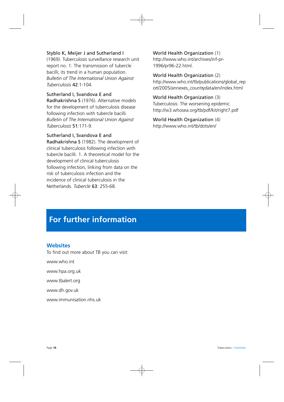#### Styblo K, Meijer J and Sutherland I

(1969). Tuberculosis surveillance research unit report no. 1: The transmission of tubercle bacilli; its trend in a human population. *Bulletin of The International Union Against Tuberculosis* 42:1-104.

#### Sutherland I, Svandova E and

Radhakrishna S (1976). Alternative models for the development of tuberculosis disease following infection with tubercle bacilli. *Bulletin of The International Union Against Tuberculosis* 51:171-9.

#### Sutherland I, Svandova E and

Radhakrishna S (1982). The development of clinical tuberculosis following infection with tubercle bacilli. 1. A theoretical model for the development of clinical tuberculosis following infection, linking from data on the risk of tuberculosis infection and the incidence of clinical tuberculosis in the Netherlands. *Tubercle* 63: 255-68.

World Health Organization (1) [http://www.who.int/archives/inf-pr](http://www.who.int/archives/inf-pr-1996/pr96-22.html) [1996/pr96-22.html.](http://www.who.int/archives/inf-pr-1996/pr96-22.html) 

World Health Organization (2) http://www.who.int/tb/publications/global\_rep ort/2005/annexes countrydata/en/index.html

# World Health Organization (3)

Tuberculosis: The worsening epidemic. <http://w3.whosea.org/tb/pdf/kit/right7.pdf>

World Health Organization (4) [http://www.who.int/tb/dots/en/](http://www.who.int/tb/dots/en)

# **For further information**

#### **Websites**

To find out more about TB you can visit:

[www.who.int](http://www.who.int) 

[www.hpa.org.uk](http://www.hpa.org.uk) 

[www.tbalert.org](http://www.tbalert.org) 

[www.dh.gov.uk](http://www.dh.gov.uk) 

[www.immunisation.nhs.uk](http://www.immunisation.nhs.uk)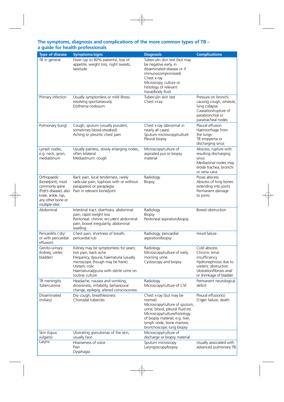#### **The symptoms, diagnosis and complications of the more common types of TB – a guide for health professionals**

| <b>Type of disease</b>                                                                                                                    | <b>Symptoms/signs</b>                                                                                                                                                                                                       | <b>Diagnosis</b>                                                                                                                                                                                                                   | <b>Complications</b>                                                                                                                                   |
|-------------------------------------------------------------------------------------------------------------------------------------------|-----------------------------------------------------------------------------------------------------------------------------------------------------------------------------------------------------------------------------|------------------------------------------------------------------------------------------------------------------------------------------------------------------------------------------------------------------------------------|--------------------------------------------------------------------------------------------------------------------------------------------------------|
| TB in general                                                                                                                             | Fever (up to 80% patients), loss of<br>appetite, weight loss, night sweats,<br>lassitude                                                                                                                                    | Tuberculin skin test (but may<br>be negative early, in<br>disseminated disease or if<br>immunocompromised)<br>Chest x-ray<br>Microscopy, culture or<br>histology of relevant<br>tissue/body fluid                                  |                                                                                                                                                        |
| Primary infection                                                                                                                         | Usually symptomless or mild illness<br>resolving spontaneously<br>Erythema nodosum                                                                                                                                          | Tuberculin skin test<br>Chest x-ray                                                                                                                                                                                                | Pressure on bronchi<br>causing cough, wheeze,<br>lung collapse<br>Caseation/rupture of<br>parabronchial or<br>paratracheal nodes                       |
| Pulmonary (lung)                                                                                                                          | Cough, sputum (usually purulent,<br>sometimes blood-streaked)<br>Aching or pleuritic chest pain                                                                                                                             | Chest x-ray (abnormal in<br>nearly all cases)<br>Sputum microscopy/culture<br>Pleural biopsy                                                                                                                                       | Pleural effusion<br>Haemorrhage from<br>the lungs<br>TB empyema or<br>discharging sinus                                                                |
| Lymph nodes,<br>e.g. neck, groin,<br>mediastinum                                                                                          | Usually painless, slowly enlarging nodes,<br>often bilateral<br>Mediastinum: cough                                                                                                                                          | Microscopy/culture of<br>aspirated pus or biopsy<br>material                                                                                                                                                                       | Abscess, rupture with<br>resulting discharging<br>sinus<br>Mediastinal nodes may<br>erode trachea, bronchi<br>or vena cava                             |
| Orthopaedic<br>(bone/joint), most<br>commonly spine<br>(Pott's disease), also<br>knee, ankle, hip,<br>any other bone or<br>multiple sites | Back pain, local tenderness, rarely<br>radicular pain, kyphosis with or without<br>paraparesis or paraplegia<br>Pain in relevant bone/joint                                                                                 | Radiology<br>Biopsy                                                                                                                                                                                                                | Psoas abscess<br>Abscess of long bones<br>extending into joints<br>Permanent damage<br>to joints                                                       |
| Abdominal                                                                                                                                 | Intestinal tract: diarrhoea, abdominal<br>pain, rapid weight loss<br>Peritoneal: chronic recurrent abdominal<br>pain, bowel irregularity, abdominal<br>swelling                                                             | Radiology<br><b>Biopsy</b><br>Peritoneal aspiration/biopsy                                                                                                                                                                         | Bowel obstruction                                                                                                                                      |
| Pericarditis ('dry'<br>or with pericardial<br>effusion)                                                                                   | Chest pain, shortness of breath,<br>pericardial rub                                                                                                                                                                         | Radiology, pericardial<br>aspiration/biopsy                                                                                                                                                                                        | Heart failure                                                                                                                                          |
| Genito-urinary<br>(kidney, ureter,<br>bladder)                                                                                            | Kidney may be symptomless for years;<br>loin pain, back ache<br>Frequency, dysuria, haematuria (usually<br>microscopic though may be frank)<br>Ureteric colic<br>Haematuria/pyuria with sterile urine on<br>routine culture | Radiology<br>Microscopy/culture of early<br>morning urine<br>Cystoscopy and biopsy                                                                                                                                                 | Cold abscess<br>Chronic renal<br>insufficiency<br>Hydronephrosis due to<br>ureteric obstruction<br>Ulceration/fibrosis and/<br>or shrinkage of bladder |
| TB meningitis<br>Tuberculoma                                                                                                              | Headache, nausea and vomiting,<br>drowsiness, irritability, behavioural<br>change, epilepsy, altered consciousness                                                                                                          | Radiology<br>Microscopy/culture of CSF                                                                                                                                                                                             | Permanent neurological<br>deficit                                                                                                                      |
| Disseminated<br>(miliary)                                                                                                                 | Dry cough, breathlessness<br>Choroidal tubercles                                                                                                                                                                            | Chest x-ray (but may be<br>normal)<br>Microscopy/culture of sputum,<br>urine, blood, pleural fluid etc<br>Microscopy/culture/histology<br>of biopsy material, e.g. liver,<br>lymph node, bone marrow,<br>bronchoscopic lung biopsy | Pleural effusion(s)<br>Organ failure, death                                                                                                            |
| Skin (lupus<br>vulgaris)                                                                                                                  | Ulcerating granulomas of the skin,<br>usually face                                                                                                                                                                          | Microscopy/culture of<br>discharge or biopsy material                                                                                                                                                                              |                                                                                                                                                        |
| Larynx                                                                                                                                    | Hoarseness of voice<br>Pain<br>Dysphagia                                                                                                                                                                                    | Sputum microscopy<br>Laryngoscopy/biopsy                                                                                                                                                                                           | Usually associated with<br>advanced pulmonary TB                                                                                                       |